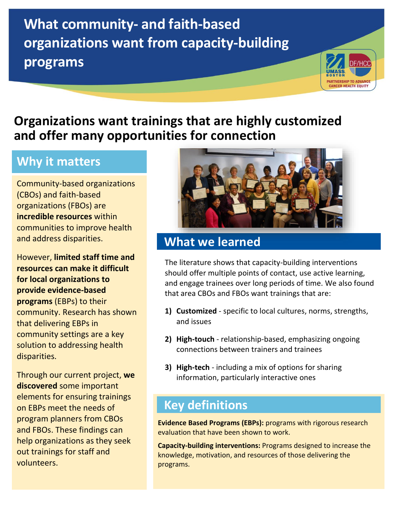# **What community- and faith-based organizations want from capacity-building programs**



### **Organizations want trainings that are highly customized and offer many opportunities for connection**

#### **Why it matters**

Community-based organizations (CBOs) and faith-based organizations (FBOs) are **incredible resources** within communities to improve health and address disparities.

However, **limited staff time and resources can make it difficult for local organizations to provide evidence-based programs** (EBPs) to their community. Research has shown that delivering EBPs in community settings are a key solution to addressing health disparities.

Through our current project, **we discovered** some important elements for ensuring trainings on EBPs meet the needs of program planners from CBOs and FBOs. These findings can help organizations as they seek out trainings for staff and volunteers.



#### **What we learned**

The literature shows that capacity-building interventions should offer multiple points of contact, use active learning, and engage trainees over long periods of time. We also found that area CBOs and FBOs want trainings that are:

- **1) Customized** specific to local cultures, norms, strengths, and issues
- **2) High-touch** relationship-based, emphasizing ongoing connections between trainers and trainees
- **3) High-tech** including a mix of options for sharing information, particularly interactive ones

#### **Key definitions**

**Evidence Based Programs (EBPs):** programs with rigorous research evaluation that have been shown to work.

**Capacity-building interventions:** Programs designed to increase the knowledge, motivation, and resources of those delivering the programs.